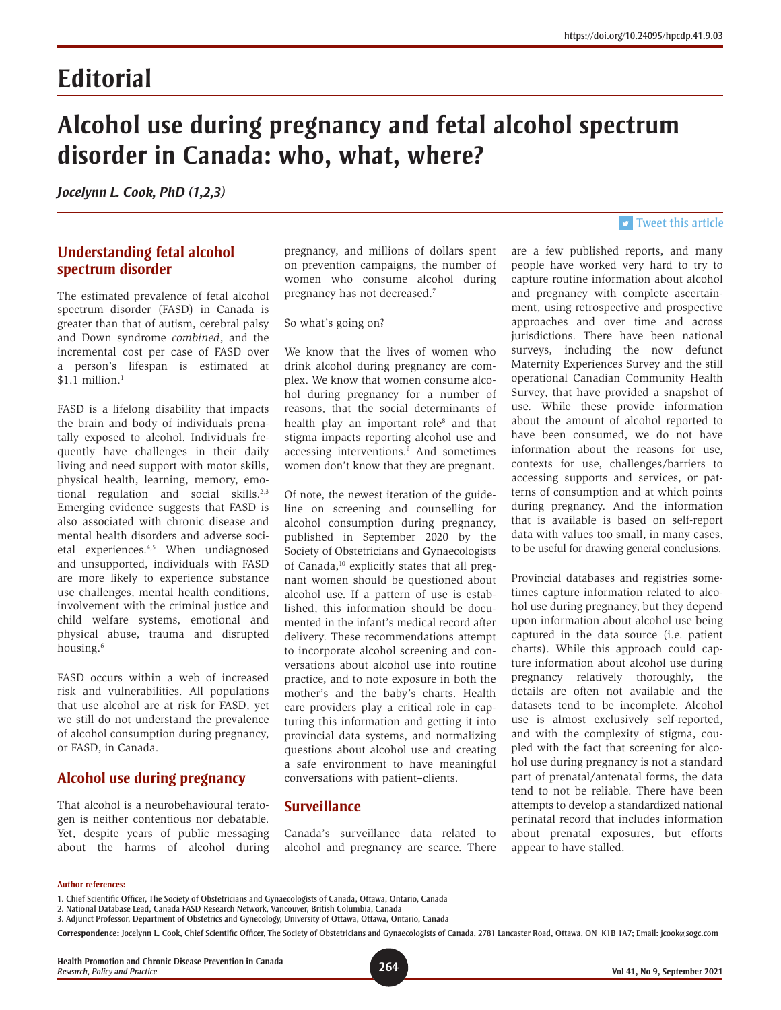# **Editorial**

# **Alcohol use during pregnancy and fetal alcohol spectrum disorder in Canada: who, what, where?**

*Jocelynn L. Cook, PhD (1,2,3)*

#### **Understanding fetal alcohol spectrum disorder**

The estimated prevalence of fetal alcohol spectrum disorder (FASD) in Canada is greater than that of autism, cerebral palsy and Down syndrome *combined*, and the incremental cost per case of FASD over a person's lifespan is estimated at  $$1.1$  million.<sup>1</sup>

FASD is a lifelong disability that impacts the brain and body of individuals prenatally exposed to alcohol. Individuals frequently have challenges in their daily living and need support with motor skills, physical health, learning, memory, emotional regulation and social skills.<sup>2,3</sup> Emerging evidence suggests that FASD is also associated with chronic disease and mental health disorders and adverse societal experiences.4,5 When undiagnosed and unsupported, individuals with FASD are more likely to experience substance use challenges, mental health conditions, involvement with the criminal justice and child welfare systems, emotional and physical abuse, trauma and disrupted housing.<sup>6</sup>

FASD occurs within a web of increased risk and vulnerabilities. All populations that use alcohol are at risk for FASD, yet we still do not understand the prevalence of alcohol consumption during pregnancy, or FASD, in Canada.

## **Alcohol use during pregnancy**

That alcohol is a neurobehavioural teratogen is neither contentious nor debatable. Yet, despite years of public messaging about the harms of alcohol during pregnancy, and millions of dollars spent on prevention campaigns, the number of women who consume alcohol during pregnancy has not decreased.7

So what's going on?

We know that the lives of women who drink alcohol during pregnancy are complex. We know that women consume alcohol during pregnancy for a number of reasons, that the social determinants of health play an important role<sup>8</sup> and that stigma impacts reporting alcohol use and accessing interventions.9 And sometimes women don't know that they are pregnant.

Of note, the newest iteration of the guideline on screening and counselling for alcohol consumption during pregnancy, published in September 2020 by the Society of Obstetricians and Gynaecologists of Canada,10 explicitly states that all pregnant women should be questioned about alcohol use. If a pattern of use is established, this information should be documented in the infant's medical record after delivery. These recommendations attempt to incorporate alcohol screening and conversations about alcohol use into routine practice, and to note exposure in both the mother's and the baby's charts. Health care providers play a critical role in capturing this information and getting it into provincial data systems, and normalizing questions about alcohol use and creating a safe environment to have meaningful conversations with patient–clients.

#### **Surveillance**

Canada's surveillance data related to alcohol and pregnancy are scarce. There are a few published reports, and many people have worked very hard to try to capture routine information about alcohol and pregnancy with complete ascertain-

**T** [Tweet this article](http://twitter.com/share?text=%23HPCDP Journal – %23Alcoholuse during %23pregnancy and %23fetalalcoholspectrumdisorder in Canada: who, what, where?&hashtags=FASD,alcohol,PHAC&url=https://doi.org/10.24095/hpcdp.41.9.03)

ment, using retrospective and prospective approaches and over time and across jurisdictions. There have been national surveys, including the now defunct Maternity Experiences Survey and the still operational Canadian Community Health Survey, that have provided a snapshot of use. While these provide information about the amount of alcohol reported to have been consumed, we do not have information about the reasons for use, contexts for use, challenges/barriers to accessing supports and services, or patterns of consumption and at which points during pregnancy. And the information that is available is based on self-report data with values too small, in many cases, to be useful for drawing general conclusions.

Provincial databases and registries sometimes capture information related to alcohol use during pregnancy, but they depend upon information about alcohol use being captured in the data source (i.e. patient charts). While this approach could capture information about alcohol use during pregnancy relatively thoroughly, the details are often not available and the datasets tend to be incomplete. Alcohol use is almost exclusively self-reported, and with the complexity of stigma, coupled with the fact that screening for alcohol use during pregnancy is not a standard part of prenatal/antenatal forms, the data tend to not be reliable. There have been attempts to develop a standardized national perinatal record that includes information about prenatal exposures, but efforts appear to have stalled.

#### **Author references:**

**264 Health Promotion and Chronic Disease Prevention in Canada**

<sup>1.</sup> Chief Scientific Officer, The Society of Obstetricians and Gynaecologists of Canada, Ottawa, Ontario, Canada

<sup>2.</sup> National Database Lead, Canada FASD Research Network, Vancouver, British Columbia, Canada

<sup>3.</sup> Adjunct Professor, Department of Obstetrics and Gynecology, University of Ottawa, Ottawa, Ontario, Canada

**Correspondence:** Jocelynn L. Cook, Chief Scientific Officer, The Society of Obstetricians and Gynaecologists of Canada, 2781 Lancaster Road, Ottawa, ON K1B 1A7; Email: jcook@sogc.com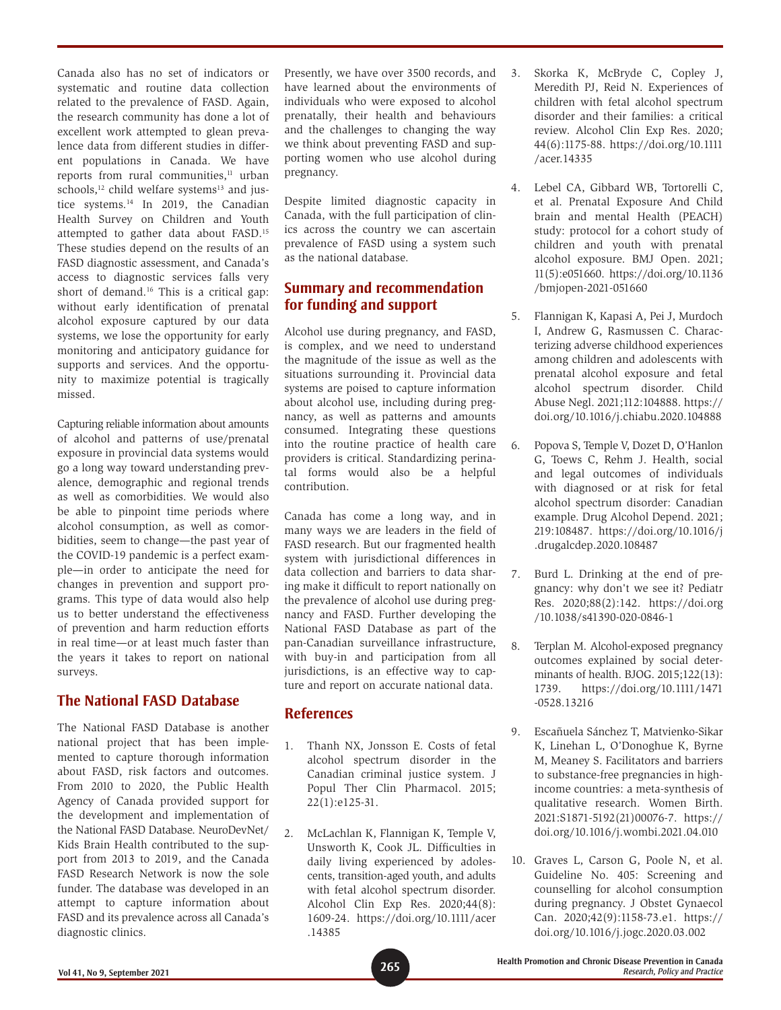Canada also has no set of indicators or systematic and routine data collection related to the prevalence of FASD. Again, the research community has done a lot of excellent work attempted to glean prevalence data from different studies in different populations in Canada. We have reports from rural communities,<sup>11</sup> urban schools,<sup>12</sup> child welfare systems<sup>13</sup> and justice systems.14 In 2019, the Canadian Health Survey on Children and Youth attempted to gather data about FASD.15 These studies depend on the results of an FASD diagnostic assessment, and Canada's access to diagnostic services falls very short of demand.<sup>16</sup> This is a critical gap: without early identification of prenatal alcohol exposure captured by our data systems, we lose the opportunity for early monitoring and anticipatory guidance for supports and services. And the opportunity to maximize potential is tragically missed.

Capturing reliable information about amounts of alcohol and patterns of use/prenatal exposure in provincial data systems would go a long way toward understanding prevalence, demographic and regional trends as well as comorbidities. We would also be able to pinpoint time periods where alcohol consumption, as well as comorbidities, seem to change—the past year of the COVID-19 pandemic is a perfect example—in order to anticipate the need for changes in prevention and support programs. This type of data would also help us to better understand the effectiveness of prevention and harm reduction efforts in real time—or at least much faster than the years it takes to report on national surveys.

# **The National FASD Database**

The National FASD Database is another national project that has been implemented to capture thorough information about FASD, risk factors and outcomes. From 2010 to 2020, the Public Health Agency of Canada provided support for the development and implementation of the National FASD Database. NeuroDevNet/ Kids Brain Health contributed to the support from 2013 to 2019, and the Canada FASD Research Network is now the sole funder. The database was developed in an attempt to capture information about FASD and its prevalence across all Canada's diagnostic clinics.

Presently, we have over 3500 records, and have learned about the environments of individuals who were exposed to alcohol prenatally, their health and behaviours and the challenges to changing the way we think about preventing FASD and supporting women who use alcohol during pregnancy.

Despite limited diagnostic capacity in Canada, with the full participation of clinics across the country we can ascertain prevalence of FASD using a system such as the national database.

### **Summary and recommendation for funding and support**

Alcohol use during pregnancy, and FASD, is complex, and we need to understand the magnitude of the issue as well as the situations surrounding it. Provincial data systems are poised to capture information about alcohol use, including during pregnancy, as well as patterns and amounts consumed. Integrating these questions into the routine practice of health care providers is critical. Standardizing perinatal forms would also be a helpful contribution.

Canada has come a long way, and in many ways we are leaders in the field of FASD research. But our fragmented health system with jurisdictional differences in data collection and barriers to data sharing make it difficult to report nationally on the prevalence of alcohol use during pregnancy and FASD. Further developing the National FASD Database as part of the pan-Canadian surveillance infrastructure, with buy-in and participation from all jurisdictions, is an effective way to capture and report on accurate national data.

## **References**

- 1. Thanh NX, Jonsson E. Costs of fetal alcohol spectrum disorder in the Canadian criminal justice system. J Popul Ther Clin Pharmacol. 2015; 22(1):e125-31.
- 2. McLachlan K, Flannigan K, Temple V, Unsworth K, Cook JL. Difficulties in daily living experienced by adolescents, transition-aged youth, and adults with fetal alcohol spectrum disorder. Alcohol Clin Exp Res. 2020;44(8): 1609-24. [https://doi.org/10.1111/acer](https://doi.org/10.1111/acer.14385) [.14385](https://doi.org/10.1111/acer.14385)
- 3. Skorka K, McBryde C, Copley J, Meredith PJ, Reid N. Experiences of children with fetal alcohol spectrum disorder and their families: a critical review. Alcohol Clin Exp Res. 2020; 44(6):1175-88. [https://doi.org/10.1111](https://doi.org/10.1111/acer.14335) [/acer.14335](https://doi.org/10.1111/acer.14335)
- 4. Lebel CA, Gibbard WB, Tortorelli C, et al. Prenatal Exposure And Child brain and mental Health (PEACH) study: protocol for a cohort study of children and youth with prenatal alcohol exposure. BMJ Open. 2021; 11(5):e051660. [https://doi.org/10.1136](https://doi.org/10.1136/bmjopen-2021-051660) [/bmjopen-2021-051660](https://doi.org/10.1136/bmjopen-2021-051660)
- 5. Flannigan K, Kapasi A, Pei J, Murdoch I, Andrew G, Rasmussen C. Characterizing adverse childhood experiences among children and adolescents with prenatal alcohol exposure and fetal alcohol spectrum disorder. Child Abuse Negl. 2021;112:104888. [https://](https://doi.org/10.1016/j.chiabu.2020.104888) [doi.org/10.1016/j.chiabu.2020.104888](https://doi.org/10.1016/j.chiabu.2020.104888)
- 6. Popova S, Temple V, Dozet D, O'Hanlon G, Toews C, Rehm J. Health, social and legal outcomes of individuals with diagnosed or at risk for fetal alcohol spectrum disorder: Canadian example. Drug Alcohol Depend. 2021; 219:108487. [https://doi.org/10.1016/j](https://doi.org/10.1016/j.drugalcdep.2020.108487) [.drugalcdep.2020.108487](https://doi.org/10.1016/j.drugalcdep.2020.108487)
- 7. Burd L. Drinking at the end of pregnancy: why don't we see it? Pediatr Res. 2020;88(2):142. [https://doi.org](https://doi.org/10.1038/s41390-020-0846-1) [/10.1038/s41390-020-0846-1](https://doi.org/10.1038/s41390-020-0846-1)
- 8. Terplan M. Alcohol-exposed pregnancy outcomes explained by social determinants of health. BJOG. 2015;122(13): 1739. [https://doi.org/10.1111/1471](https://doi.org/10.1111/1471-0528.13216) [-0528.13216](https://doi.org/10.1111/1471-0528.13216)
- 9. Escañuela Sánchez T, Matvienko-Sikar K, Linehan L, O'Donoghue K, Byrne M, Meaney S. Facilitators and barriers to substance-free pregnancies in high-income countries: a meta-synthesis of qualitative research. Women Birth. 2021:S1871-5192(21)00076-7. [https://](https://doi.org/10.1016/j.wombi.2021.04.010) [doi.org/10.1016/j.wombi.2021.04.010](https://doi.org/10.1016/j.wombi.2021.04.010)
- 10. Graves L, Carson G, Poole N, et al. Guideline No. 405: Screening and counselling for alcohol consumption during pregnancy. J Obstet Gynaecol Can. 2020;42(9):1158-73.e1. [https://](https://doi.org/10.1016/j.jogc.2020.03.002) [doi.org/10.1016/j.jogc.2020.03.002](https://doi.org/10.1016/j.jogc.2020.03.002)